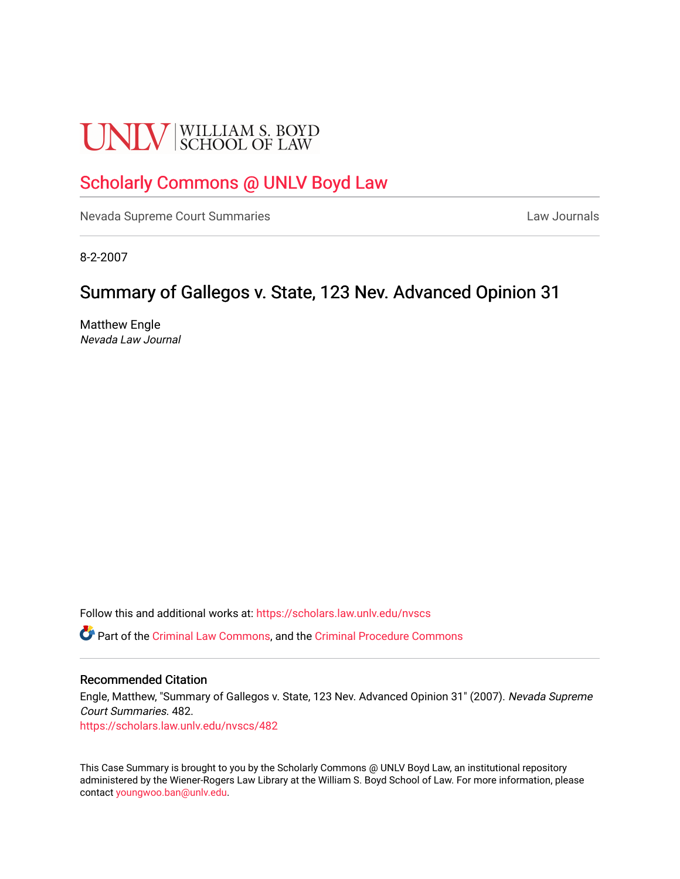# **UNLV** SCHOOL OF LAW

# [Scholarly Commons @ UNLV Boyd Law](https://scholars.law.unlv.edu/)

[Nevada Supreme Court Summaries](https://scholars.law.unlv.edu/nvscs) **Law Journals** Law Journals

8-2-2007

# Summary of Gallegos v. State, 123 Nev. Advanced Opinion 31

Matthew Engle Nevada Law Journal

Follow this and additional works at: [https://scholars.law.unlv.edu/nvscs](https://scholars.law.unlv.edu/nvscs?utm_source=scholars.law.unlv.edu%2Fnvscs%2F482&utm_medium=PDF&utm_campaign=PDFCoverPages)

Part of the [Criminal Law Commons,](http://network.bepress.com/hgg/discipline/912?utm_source=scholars.law.unlv.edu%2Fnvscs%2F482&utm_medium=PDF&utm_campaign=PDFCoverPages) and the [Criminal Procedure Commons](http://network.bepress.com/hgg/discipline/1073?utm_source=scholars.law.unlv.edu%2Fnvscs%2F482&utm_medium=PDF&utm_campaign=PDFCoverPages)

#### Recommended Citation

Engle, Matthew, "Summary of Gallegos v. State, 123 Nev. Advanced Opinion 31" (2007). Nevada Supreme Court Summaries. 482.

[https://scholars.law.unlv.edu/nvscs/482](https://scholars.law.unlv.edu/nvscs/482?utm_source=scholars.law.unlv.edu%2Fnvscs%2F482&utm_medium=PDF&utm_campaign=PDFCoverPages)

This Case Summary is brought to you by the Scholarly Commons @ UNLV Boyd Law, an institutional repository administered by the Wiener-Rogers Law Library at the William S. Boyd School of Law. For more information, please contact [youngwoo.ban@unlv.edu](mailto:youngwoo.ban@unlv.edu).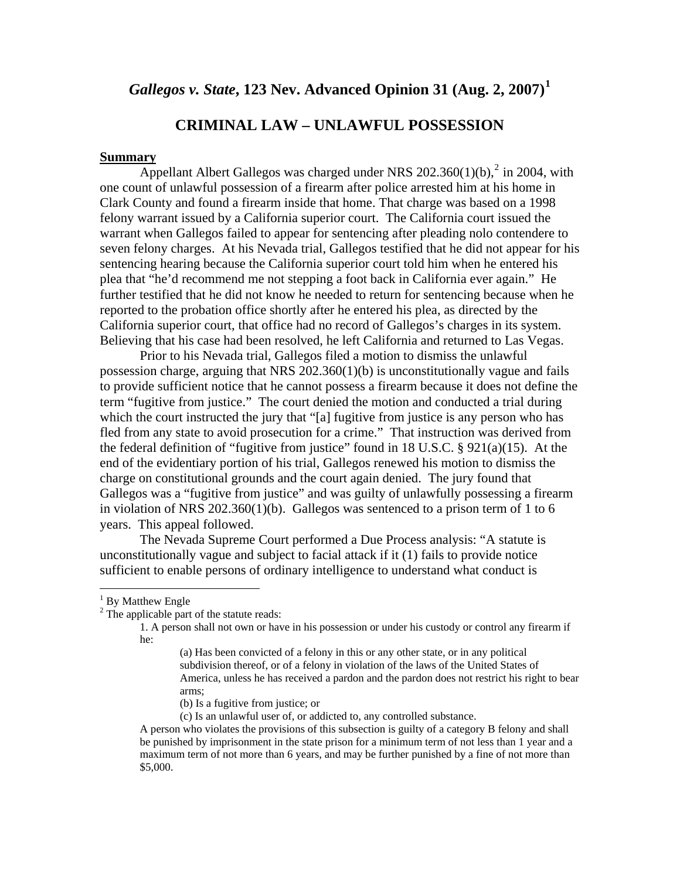## *Gallegos v. State***, 123 Nev. Advanced Opinion 31 (Aug. 2, 2007)[1](#page-1-0)**

### **CRIMINAL LAW – UNLAWFUL POSSESSION**

#### **Summary**

Appellant Albert Gallegos was charged under NRS  $202.360(1)(b)$  $202.360(1)(b)$ ,  $2$  in 2004, with one count of unlawful possession of a firearm after police arrested him at his home in Clark County and found a firearm inside that home. That charge was based on a 1998 felony warrant issued by a California superior court. The California court issued the warrant when Gallegos failed to appear for sentencing after pleading nolo contendere to seven felony charges. At his Nevada trial, Gallegos testified that he did not appear for his sentencing hearing because the California superior court told him when he entered his plea that "he'd recommend me not stepping a foot back in California ever again." He further testified that he did not know he needed to return for sentencing because when he reported to the probation office shortly after he entered his plea, as directed by the California superior court, that office had no record of Gallegos's charges in its system. Believing that his case had been resolved, he left California and returned to Las Vegas.

 Prior to his Nevada trial, Gallegos filed a motion to dismiss the unlawful possession charge, arguing that NRS 202.360(1)(b) is unconstitutionally vague and fails to provide sufficient notice that he cannot possess a firearm because it does not define the term "fugitive from justice." The court denied the motion and conducted a trial during which the court instructed the jury that "[a] fugitive from justice is any person who has fled from any state to avoid prosecution for a crime." That instruction was derived from the federal definition of "fugitive from justice" found in 18 U.S.C.  $\S$  921(a)(15). At the end of the evidentiary portion of his trial, Gallegos renewed his motion to dismiss the charge on constitutional grounds and the court again denied. The jury found that Gallegos was a "fugitive from justice" and was guilty of unlawfully possessing a firearm in violation of NRS 202.360(1)(b). Gallegos was sentenced to a prison term of 1 to 6 years. This appeal followed.

The Nevada Supreme Court performed a Due Process analysis: "A statute is unconstitutionally vague and subject to facial attack if it (1) fails to provide notice sufficient to enable persons of ordinary intelligence to understand what conduct is

 $\overline{a}$ 

(b) Is a fugitive from justice; or

(c) Is an unlawful user of, or addicted to, any controlled substance.

A person who violates the provisions of this subsection is guilty of a category B felony and shall be punished by imprisonment in the state prison for a minimum term of not less than 1 year and a maximum term of not more than 6 years, and may be further punished by a fine of not more than \$5,000.

<span id="page-1-1"></span><span id="page-1-0"></span><sup>&</sup>lt;sup>1</sup> By Matthew Engle

<sup>&</sup>lt;sup>2</sup> The applicable part of the statute reads:

<sup>1.</sup> A person shall not own or have in his possession or under his custody or control any firearm if he:

<sup>(</sup>a) Has been convicted of a felony in this or any other state, or in any political subdivision thereof, or of a felony in violation of the laws of the United States of America, unless he has received a pardon and the pardon does not restrict his right to bear arms;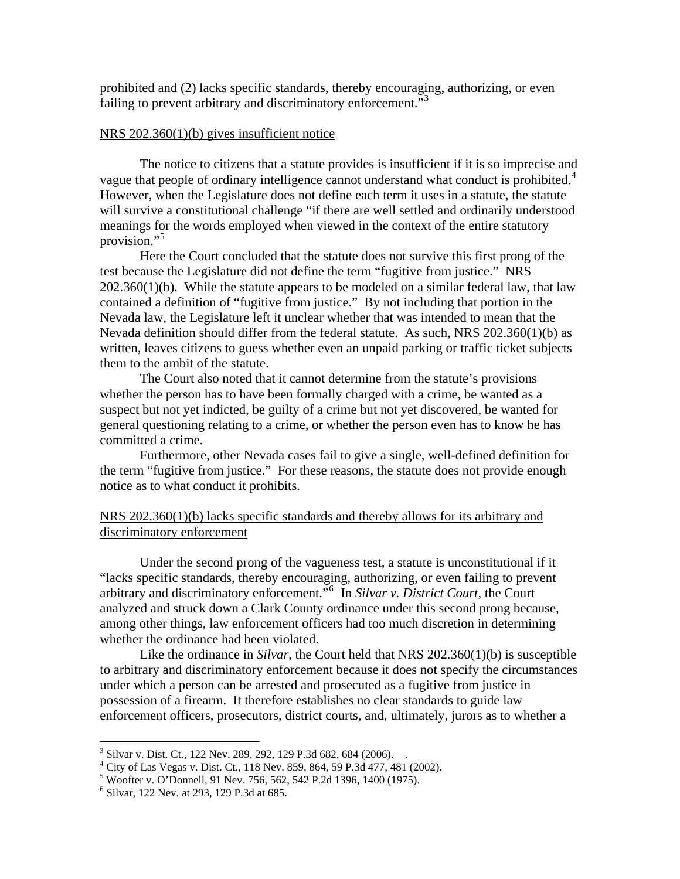prohibited and (2) lacks specific standards, thereby encouraging, authorizing, or even failing to prevent arbitrary and discriminatory enforcement."[3](#page-2-0)

#### NRS 202.360(1)(b) gives insufficient notice

The notice to citizens that a statute provides is insufficient if it is so imprecise and vague that people of ordinary intelligence cannot understand what conduct is prohibited.<sup>[4](#page-2-1)</sup> However, when the Legislature does not define each term it uses in a statute, the statute will survive a constitutional challenge "if there are well settled and ordinarily understood meanings for the words employed when viewed in the context of the entire statutory provision."[5](#page-2-2)

 Here the Court concluded that the statute does not survive this first prong of the test because the Legislature did not define the term "fugitive from justice." NRS 202.360(1)(b). While the statute appears to be modeled on a similar federal law, that law contained a definition of "fugitive from justice." By not including that portion in the Nevada law, the Legislature left it unclear whether that was intended to mean that the Nevada definition should differ from the federal statute. As such, NRS 202.360(1)(b) as written, leaves citizens to guess whether even an unpaid parking or traffic ticket subjects them to the ambit of the statute.

 The Court also noted that it cannot determine from the statute's provisions whether the person has to have been formally charged with a crime, be wanted as a suspect but not yet indicted, be guilty of a crime but not yet discovered, be wanted for general questioning relating to a crime, or whether the person even has to know he has committed a crime.

 Furthermore, other Nevada cases fail to give a single, well-defined definition for the term "fugitive from justice." For these reasons, the statute does not provide enough notice as to what conduct it prohibits.

#### NRS 202.360(1)(b) lacks specific standards and thereby allows for its arbitrary and discriminatory enforcement

 Under the second prong of the vagueness test, a statute is unconstitutional if it "lacks specific standards, thereby encouraging, authorizing, or even failing to prevent arbitrary and discriminatory enforcement."[6](#page-2-3) In *Silvar v. District Court*, the Court analyzed and struck down a Clark County ordinance under this second prong because, among other things, law enforcement officers had too much discretion in determining whether the ordinance had been violated.

Like the ordinance in *Silvar*, the Court held that NRS 202.360(1)(b) is susceptible to arbitrary and discriminatory enforcement because it does not specify the circumstances under which a person can be arrested and prosecuted as a fugitive from justice in possession of a firearm. It therefore establishes no clear standards to guide law enforcement officers, prosecutors, district courts, and, ultimately, jurors as to whether a

 3 Silvar v. Dist. Ct., 122 Nev. 289, 292, 129 P.3d 682, 684 (2006). .

<span id="page-2-1"></span><span id="page-2-0"></span><sup>4</sup> City of Las Vegas v. Dist. Ct., 118 Nev. 859, 864, 59 P.3d 477, 481 (2002).

<span id="page-2-2"></span><sup>&</sup>lt;sup>5</sup> Woofter v. O'Donnell, 91 Nev. 756, 562, 542 P.2d 1396, 1400 (1975).

<span id="page-2-3"></span><sup>6</sup> Silvar, 122 Nev. at 293, 129 P.3d at 685.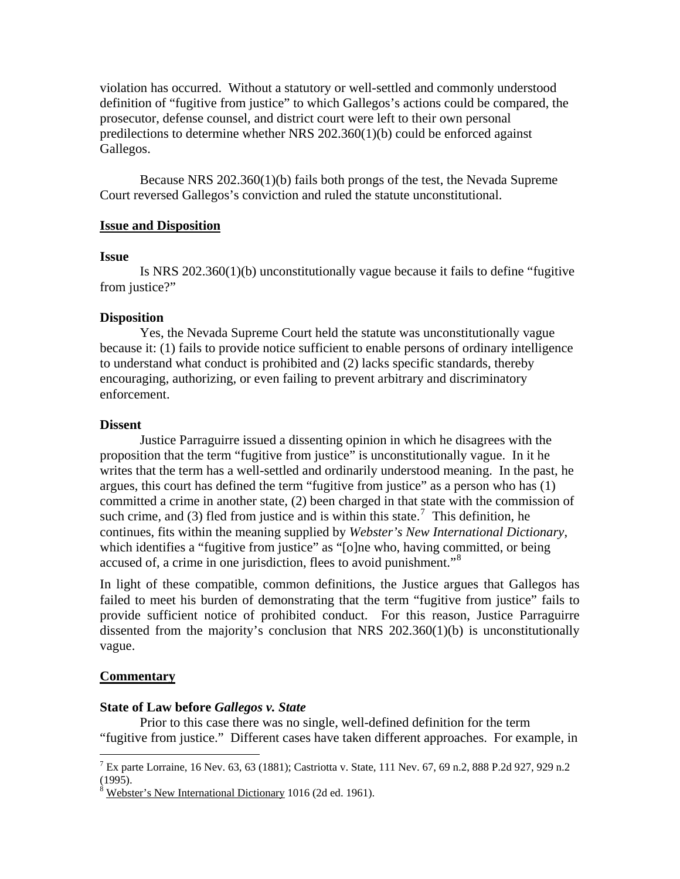violation has occurred. Without a statutory or well-settled and commonly understood definition of "fugitive from justice" to which Gallegos's actions could be compared, the prosecutor, defense counsel, and district court were left to their own personal predilections to determine whether NRS 202.360(1)(b) could be enforced against Gallegos.

Because NRS 202.360(1)(b) fails both prongs of the test, the Nevada Supreme Court reversed Gallegos's conviction and ruled the statute unconstitutional.

#### **Issue and Disposition**

#### **Issue**

 Is NRS 202.360(1)(b) unconstitutionally vague because it fails to define "fugitive from justice?"

#### **Disposition**

Yes, the Nevada Supreme Court held the statute was unconstitutionally vague because it: (1) fails to provide notice sufficient to enable persons of ordinary intelligence to understand what conduct is prohibited and (2) lacks specific standards, thereby encouraging, authorizing, or even failing to prevent arbitrary and discriminatory enforcement.

#### **Dissent**

 Justice Parraguirre issued a dissenting opinion in which he disagrees with the proposition that the term "fugitive from justice" is unconstitutionally vague. In it he writes that the term has a well-settled and ordinarily understood meaning. In the past, he argues, this court has defined the term "fugitive from justice" as a person who has (1) committed a crime in another state, (2) been charged in that state with the commission of such crime, and (3) fled from justice and is within this state.<sup>[7](#page-3-0)</sup> This definition, he continues, fits within the meaning supplied by *Webster's New International Dictionary*, which identifies a "fugitive from justice" as "[o]ne who, having committed, or being accused of, a crime in one jurisdiction, flees to avoid punishment."<sup>[8](#page-3-1)</sup>

In light of these compatible, common definitions, the Justice argues that Gallegos has failed to meet his burden of demonstrating that the term "fugitive from justice" fails to provide sufficient notice of prohibited conduct. For this reason, Justice Parraguirre dissented from the majority's conclusion that NRS 202.360(1)(b) is unconstitutionally vague.

#### **Commentary**

#### **State of Law before** *Gallegos v. State*

 Prior to this case there was no single, well-defined definition for the term "fugitive from justice." Different cases have taken different approaches. For example, in

<span id="page-3-0"></span> $\overline{a}$ <sup>7</sup> Ex parte Lorraine, 16 Nev. 63, 63 (1881); Castriotta v. State, 111 Nev. 67, 69 n.2, 888 P.2d 927, 929 n.2 (1995).

<span id="page-3-1"></span><sup>&</sup>lt;sup>8</sup> Webster's New International Dictionary 1016 (2d ed. 1961).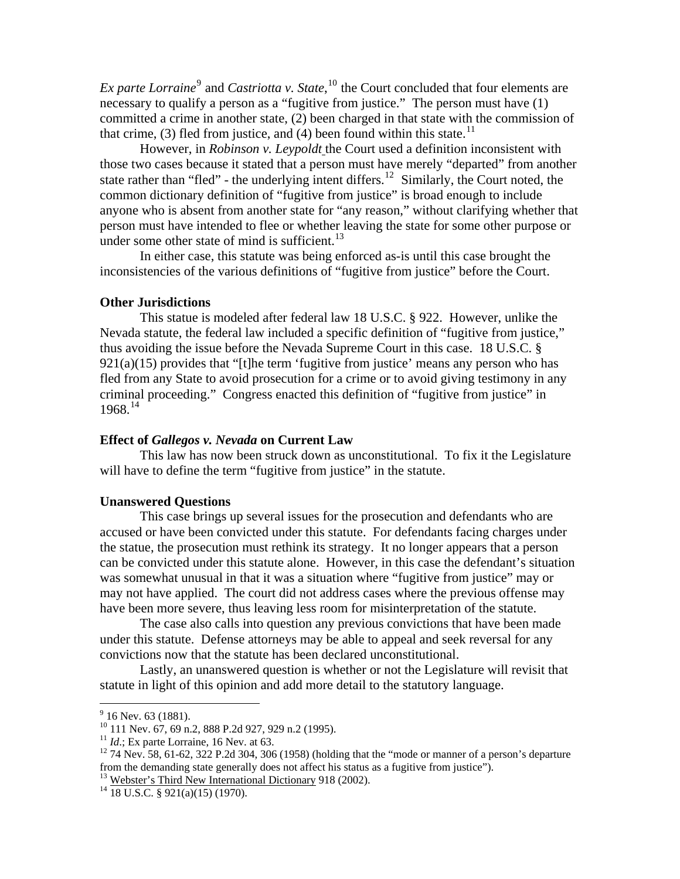*Ex parte Lorraine*<sup>[9](#page-4-0)</sup> and *Castriotta v. State*, <sup>[10](#page-4-1)</sup> the Court concluded that four elements are necessary to qualify a person as a "fugitive from justice." The person must have (1) committed a crime in another state, (2) been charged in that state with the commission of that crime, (3) fled from justice, and (4) been found within this state.<sup>[11](#page-4-2)</sup>

However, in *Robinson v. Leypoldt* the Court used a definition inconsistent with those two cases because it stated that a person must have merely "departed" from another state rather than "fled" - the underlying intent differs.<sup>[12](#page-4-3)</sup> Similarly, the Court noted, the common dictionary definition of "fugitive from justice" is broad enough to include anyone who is absent from another state for "any reason," without clarifying whether that person must have intended to flee or whether leaving the state for some other purpose or under some other state of mind is sufficient.<sup>[13](#page-4-4)</sup>

In either case, this statute was being enforced as-is until this case brought the inconsistencies of the various definitions of "fugitive from justice" before the Court.

#### **Other Jurisdictions**

This statue is modeled after federal law 18 U.S.C. § 922. However, unlike the Nevada statute, the federal law included a specific definition of "fugitive from justice," thus avoiding the issue before the Nevada Supreme Court in this case. 18 U.S.C. §  $921(a)(15)$  provides that "[t]he term 'fugitive from justice' means any person who has fled from any State to avoid prosecution for a crime or to avoid giving testimony in any criminal proceeding." Congress enacted this definition of "fugitive from justice" in  $1968.<sup>14</sup>$  $1968.<sup>14</sup>$  $1968.<sup>14</sup>$ 

#### **Effect of** *Gallegos v. Nevada* **on Current Law**

This law has now been struck down as unconstitutional. To fix it the Legislature will have to define the term "fugitive from justice" in the statute.

#### **Unanswered Questions**

 This case brings up several issues for the prosecution and defendants who are accused or have been convicted under this statute. For defendants facing charges under the statue, the prosecution must rethink its strategy. It no longer appears that a person can be convicted under this statute alone. However, in this case the defendant's situation was somewhat unusual in that it was a situation where "fugitive from justice" may or may not have applied. The court did not address cases where the previous offense may have been more severe, thus leaving less room for misinterpretation of the statute.

 The case also calls into question any previous convictions that have been made under this statute. Defense attorneys may be able to appeal and seek reversal for any convictions now that the statute has been declared unconstitutional.

 Lastly, an unanswered question is whether or not the Legislature will revisit that statute in light of this opinion and add more detail to the statutory language.

 $\frac{9}{9}$  16 Nev. 63 (1881).

<span id="page-4-1"></span><span id="page-4-0"></span><sup>&</sup>lt;sup>10</sup> 111 Nev. 67, 69 n.2, 888 P.2d 927, 929 n.2 (1995).<br><sup>11</sup> *Id.*; Ex parte Lorraine, 16 Nev. at 63.

<span id="page-4-3"></span><span id="page-4-2"></span> $12$ <sup>12</sup> 74 Nev. 58, 61-62, 322 P.2d 304, 306 (1958) (holding that the "mode or manner of a person's departure from the demanding state generally does not affect his status as a fugitive from justice").<br><sup>13</sup> Webster's Third New International Dictionary 918 (2002).<br><sup>14</sup> 18 U.S.C. § 921(a)(15) (1970).

<span id="page-4-4"></span>

<span id="page-4-5"></span>